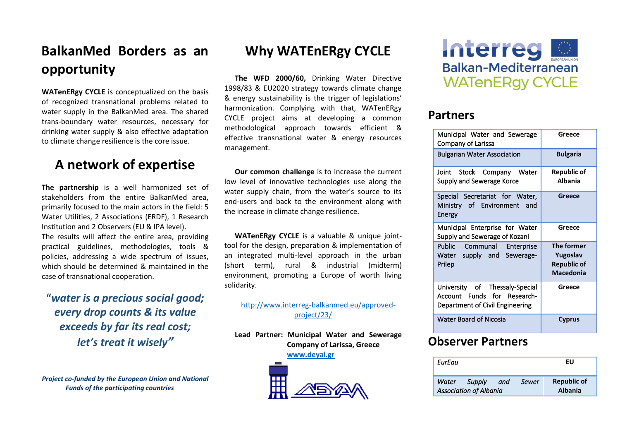# **BalkanMed Borders as an opportunity**

**WATenERgy CYCLE** is conceptualized on the basis of recognized transnational problems related to water supply in the BalkanMed area. The shared trans-boundary water resources, necessary for drinking water supply & also effective adaptation to climate change resilience is the core issue.

### **A network of expertise**

**The partnership** is a well harmonized set of stakeholders from the entire BalkanMed area, primarily focused to the main actors in the field: 5 Water Utilities, 2 Associations (ERDF), 1 Research Institution and 2 Observers (EU & IPA level). The results will affect the entire area, providing practical guidelines, methodologies, tools & policies, addressing a wide spectrum of issues, which should be determined & maintained in the case of transnational cooperation.

**"***water is a precious social good; every drop counts & its value exceeds by far its real cost; let's treat it wisely"*

*Project co-funded by the European Union and National Funds of the participating countries*

## **Why WATEnERgy CYCLE**

**The WFD 2000/60,** Drinking Water Directive 1998/83 & EU2020 strategy towards climate change & energy sustainability is the trigger of legislations' harmonization. Complying with that, WATenERgy CYCLE project aims at developing a common methodological approach towards efficient & effective transnational water & energy resources management.

**Our common challenge** is to increase the current low level of innovative technologies use along the water supply chain, from the water's source to its end-users and back to the environment along with the increase in climate change resilience.

**WATenERgy CYCLE** is a valuable & unique jointtool for the design, preparation & implementation of an integrated multi-level approach in the urban (short term), rural & industrial (midterm) environment, promoting a Europe of worth living solidarity.

#### [http://www.interreg-balkanmed.eu/approved](http://www.interreg-balkanmed.eu/approved-project/23/)[project/23/](http://www.interreg-balkanmed.eu/approved-project/23/)

**Lead Partner: Municipal Water and Sewerage Company of Larissa, Greece**

**[www.deyal.gr](http://www.deyal.gr/)**





### **Partners**

| Municipal Water and Sewerage<br>Company of Larissa                                               | Greece                                                           |
|--------------------------------------------------------------------------------------------------|------------------------------------------------------------------|
| <b>Bulgarian Water Association</b>                                                               | <b>Bulgaria</b>                                                  |
| Joint<br>Stock Company Water<br>Supply and Sewerage Korce                                        | <b>Republic of</b><br><b>Albania</b>                             |
| Special Secretariat for Water,<br>Ministry of Environment<br>and<br>Energy                       | Greece                                                           |
| Municipal Enterprise for Water<br>Supply and Sewerage of Kozani                                  | Greece                                                           |
| Public Communal Enterprise<br>Water supply and Sewerage-<br>Prilep                               | The former<br>Yugoslav<br><b>Republic of</b><br><b>Macedonia</b> |
| University of Thessaly-Special<br>Account Funds for Research-<br>Department of Civil Engineering | Greece                                                           |
| <b>Water Board of Nicosia</b>                                                                    | <b>Cyprus</b>                                                    |

### **Observer Partners**

| EurEau |                                         |     |       | EU                                   |
|--------|-----------------------------------------|-----|-------|--------------------------------------|
| Water  | Supply<br><b>Association of Albania</b> | and | Sewer | <b>Republic of</b><br><b>Albania</b> |